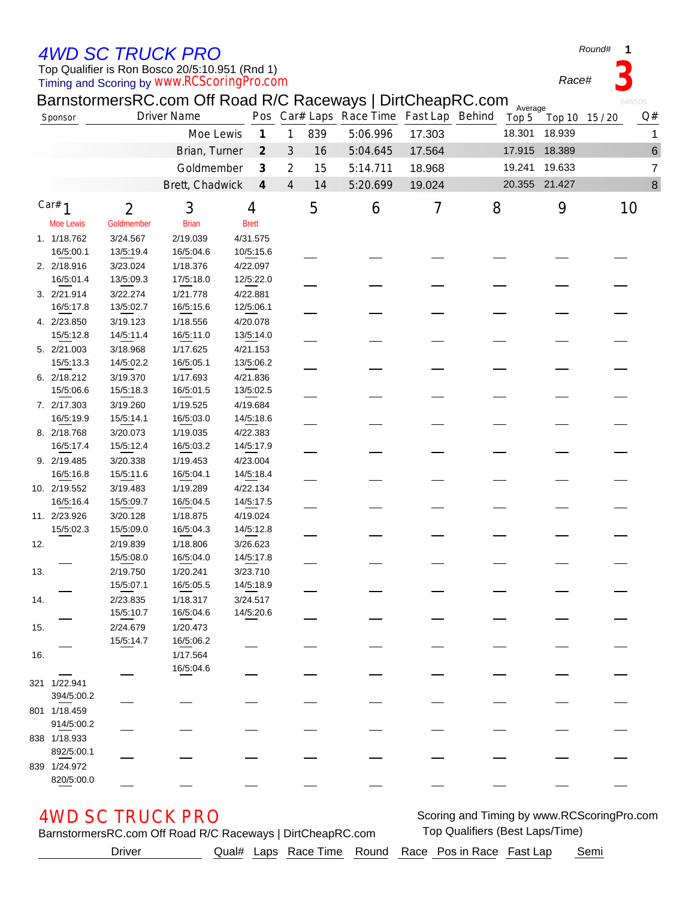## *4WD SC TRUCK PRO*

### Timing and Scoring by *www.RCScoringPro.com* Top Qualifier is Ron Bosco 20/5:10.951 (Rnd 1)

Moe Lewis Goldmember Brian Brett 1. 1/18.762 3/24.567 2/19.039 4/31.575 16/5:00.1 13/5:19.4 16/5:04.6 10/5:15.6 2. 2/18.916 3/23.024 1/18.376 4/22.097 16/5:01.4 13/5:09.3 17/5:18.0 12/5:22.0 3. 2/21.914 3/22.274 1/21.778 4/22.881 16/5:17.8 13/5:02.7 16/5:15.6 12/5:06.1 4. 2/23.850 3/19.123 1/18.556 4/20.078 15/5:12.8 14/5:11.4 16/5:11.0 13/5:14.0 5. 2/21.003 3/18.968 1/17.625 4/21.153 15/5:13.3 14/5:02.2 16/5:05.1 13/5:06.2

321 1/22.941

801 1/18.459

838 1/18.933

839 1/24.972

| <b>Driver</b> |  |  | Qual# Laps Race Time Round Race Pos in Race Fast Lap | Semi |
|---------------|--|--|------------------------------------------------------|------|
|               |  |  |                                                      |      |

|                                                                                               | 6. 2/18.212  | 3/19.370  | 1/17.693                | 4/21.836  |  |  |  |  |                                            |  |
|-----------------------------------------------------------------------------------------------|--------------|-----------|-------------------------|-----------|--|--|--|--|--------------------------------------------|--|
|                                                                                               | 15/5:06.6    | 15/5:18.3 | 16/5:01.5               | 13/5:02.5 |  |  |  |  |                                            |  |
|                                                                                               | 7. 2/17.303  | 3/19.260  | 1/19.525                | 4/19.684  |  |  |  |  |                                            |  |
|                                                                                               | 16/5:19.9    | 15/5:14.1 | 16/5:03.0               | 14/5:18.6 |  |  |  |  |                                            |  |
|                                                                                               | 8. 2/18.768  | 3/20.073  | 1/19.035                | 4/22.383  |  |  |  |  |                                            |  |
|                                                                                               | 16/5:17.4    | 15/5:12.4 | 16/5:03.2               | 14/5:17.9 |  |  |  |  |                                            |  |
|                                                                                               | 9. 2/19.485  | 3/20.338  | 1/19.453                | 4/23.004  |  |  |  |  |                                            |  |
|                                                                                               | 16/5:16.8    | 15/5:11.6 | 16/5:04.1               | 14/5:18.4 |  |  |  |  |                                            |  |
|                                                                                               | 10. 2/19.552 | 3/19.483  | 1/19.289                | 4/22.134  |  |  |  |  |                                            |  |
|                                                                                               | 16/5:16.4    | 15/5:09.7 | 16/5:04.5               | 14/5:17.5 |  |  |  |  |                                            |  |
|                                                                                               | 11. 2/23.926 | 3/20.128  | 1/18.875                | 4/19.024  |  |  |  |  |                                            |  |
|                                                                                               | 15/5:02.3    | 15/5:09.0 | 16/5:04.3               | 14/5:12.8 |  |  |  |  |                                            |  |
| 12.                                                                                           |              | 2/19.839  | 1/18.806                | 3/26.623  |  |  |  |  |                                            |  |
|                                                                                               |              | 15/5:08.0 | 16/5:04.0               | 14/5:17.8 |  |  |  |  |                                            |  |
| 13.                                                                                           |              | 2/19.750  | 1/20.241                | 3/23.710  |  |  |  |  |                                            |  |
|                                                                                               |              | 15/5:07.1 | 16/5:05.5               | 14/5:18.9 |  |  |  |  |                                            |  |
| 14.                                                                                           |              | 2/23.835  | 1/18.317                | 3/24.517  |  |  |  |  |                                            |  |
|                                                                                               |              | 15/5:10.7 | 16/5:04.6               | 14/5:20.6 |  |  |  |  |                                            |  |
| 15.                                                                                           |              | 2/24.679  | 1/20.473                |           |  |  |  |  |                                            |  |
|                                                                                               |              | 15/5:14.7 | 16/5:06.2               |           |  |  |  |  |                                            |  |
| 16.                                                                                           |              |           | 1/17.564                |           |  |  |  |  |                                            |  |
|                                                                                               |              |           | 16/5:04.6               |           |  |  |  |  |                                            |  |
|                                                                                               | 321 1/22.941 |           |                         |           |  |  |  |  |                                            |  |
|                                                                                               | 394/5:00.2   |           |                         |           |  |  |  |  |                                            |  |
|                                                                                               | 801 1/18.459 |           |                         |           |  |  |  |  |                                            |  |
|                                                                                               | 914/5:00.2   |           |                         |           |  |  |  |  |                                            |  |
|                                                                                               | 338 1/18.933 |           |                         |           |  |  |  |  |                                            |  |
|                                                                                               | 892/5:00.1   |           |                         |           |  |  |  |  |                                            |  |
|                                                                                               | 339 1/24.972 |           |                         |           |  |  |  |  |                                            |  |
|                                                                                               | 820/5:00.0   |           |                         |           |  |  |  |  |                                            |  |
|                                                                                               |              |           |                         |           |  |  |  |  |                                            |  |
|                                                                                               |              |           |                         |           |  |  |  |  |                                            |  |
|                                                                                               |              |           | <b>4WD SC TRUCK PRO</b> |           |  |  |  |  | Scoring and Timing by www.RCScoringPro.com |  |
| Top Qualifiers (Best Laps/Time)<br>BarnstormersRC.com Off Road R/C Raceways   DirtCheapRC.com |              |           |                         |           |  |  |  |  |                                            |  |

Brian, Turner 2 3 16 5:04.645 17.564 17.915 18.389 6 Goldmember 3 2 15 5:14.711 18.968 19.241 19.633 7 Brett, Chadwick *4* 4 14 5:20.699 19.024 20.355 21.427 8

#### BarnstormersRC.com Off Road R/C Raceways | DirtCheapRC.com Sponsor **Driver Name** Pos Car# Laps Race Time Fast Lap Behind Top 5 Top 10 15/20 Q# Top 5 Average<br>op 5 Top 10 15 / 20 Moe Lewis *1* 1 839 5:06.996 17.303 18.301 18.939 1

*1 2 3 4 5 6 7 8 9 10* Car#

**1**

*Race#* **3**